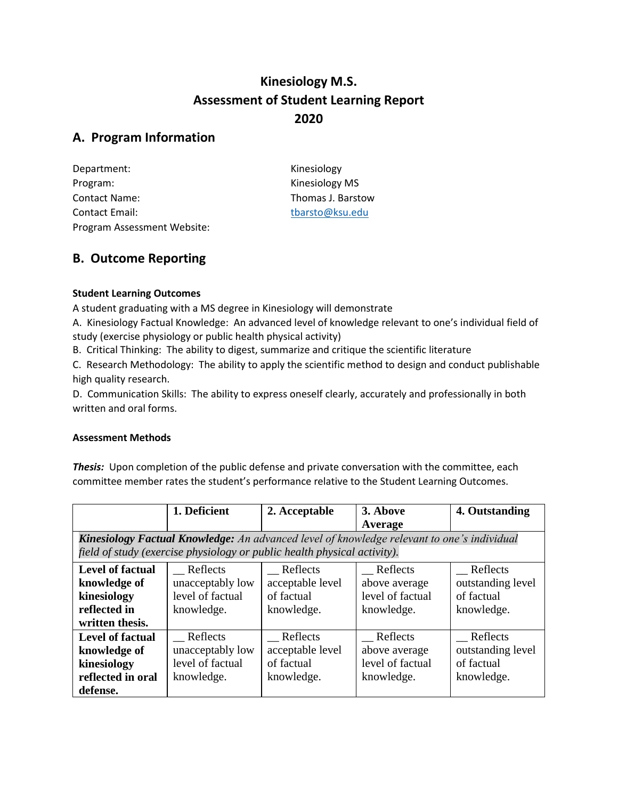# **Kinesiology M.S. Assessment of Student Learning Report 2020**

## **A. Program Information**

| Department:                 |  |
|-----------------------------|--|
| Program:                    |  |
| Contact Name:               |  |
| <b>Contact Email:</b>       |  |
| Program Assessment Website: |  |

Kinesiology Kinesiology MS Thomas J. Barstow [tbarsto@ksu.edu](mailto:tbarsto@ksu.edu)

## **B. Outcome Reporting**

### **Student Learning Outcomes**

A student graduating with a MS degree in Kinesiology will demonstrate

A. Kinesiology Factual Knowledge: An advanced level of knowledge relevant to one's individual field of study (exercise physiology or public health physical activity)

B. Critical Thinking: The ability to digest, summarize and critique the scientific literature

C. Research Methodology: The ability to apply the scientific method to design and conduct publishable high quality research.

D. Communication Skills: The ability to express oneself clearly, accurately and professionally in both written and oral forms.

### **Assessment Methods**

*Thesis:* Upon completion of the public defense and private conversation with the committee, each committee member rates the student's performance relative to the Student Learning Outcomes.

|                         | 1. Deficient                                                             | 2. Acceptable    | 3. Above                                                                                   | 4. Outstanding    |
|-------------------------|--------------------------------------------------------------------------|------------------|--------------------------------------------------------------------------------------------|-------------------|
|                         |                                                                          |                  | Average                                                                                    |                   |
|                         |                                                                          |                  | Kinesiology Factual Knowledge: An advanced level of knowledge relevant to one's individual |                   |
|                         | field of study (exercise physiology or public health physical activity). |                  |                                                                                            |                   |
| <b>Level of factual</b> | Reflects                                                                 | Reflects         | Reflects                                                                                   | Reflects          |
| knowledge of            | unacceptably low                                                         | acceptable level | above average                                                                              | outstanding level |
| kinesiology             | level of factual                                                         | of factual       | level of factual                                                                           | of factual        |
| reflected in            | knowledge.                                                               | knowledge.       | knowledge.                                                                                 | knowledge.        |
| written thesis.         |                                                                          |                  |                                                                                            |                   |
| <b>Level of factual</b> | Reflects                                                                 | Reflects         | Reflects                                                                                   | Reflects          |
| knowledge of            | unacceptably low                                                         | acceptable level | above average                                                                              | outstanding level |
| kinesiology             | level of factual                                                         | of factual       | level of factual                                                                           | of factual        |
| reflected in oral       | knowledge.                                                               | knowledge.       | knowledge.                                                                                 | knowledge.        |
| defense.                |                                                                          |                  |                                                                                            |                   |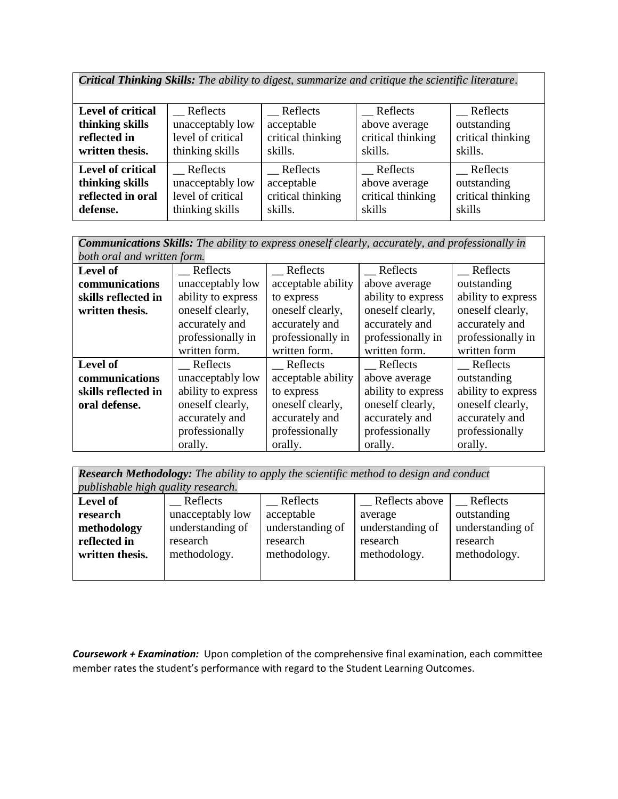*Critical Thinking Skills: The ability to digest, summarize and critique the scientific literature.*

| Level of critical        | Reflects          | Reflects          | Reflects          | Reflects          |
|--------------------------|-------------------|-------------------|-------------------|-------------------|
| thinking skills          | unacceptably low  | acceptable        | above average     | outstanding       |
| reflected in             | level of critical | critical thinking | critical thinking | critical thinking |
| written thesis.          | thinking skills   | skills.           | skills.           | skills.           |
|                          |                   |                   |                   |                   |
| <b>Level of critical</b> | Reflects          | Reflects          | Reflects          | Reflects          |
| thinking skills          | unacceptably low  | acceptable        | above average     | outstanding       |
| reflected in oral        | level of critical | critical thinking | critical thinking | critical thinking |
| defense.                 | thinking skills   | skills.           | skills            | skills            |

*Communications Skills: The ability to express oneself clearly, accurately, and professionally in both oral and written form.*

| bolh oral and written form. |                    |                    |                    |                    |
|-----------------------------|--------------------|--------------------|--------------------|--------------------|
| Level of                    | Reflects           | Reflects           | Reflects           | Reflects           |
| communications              | unacceptably low   | acceptable ability | above average      | outstanding        |
| skills reflected in         | ability to express | to express         | ability to express | ability to express |
| written thesis.             | oneself clearly,   | oneself clearly,   | oneself clearly,   | oneself clearly,   |
|                             | accurately and     | accurately and     | accurately and     | accurately and     |
|                             | professionally in  | professionally in  | professionally in  | professionally in  |
|                             | written form.      | written form.      | written form.      | written form       |
| Level of                    | Reflects           | Reflects           | Reflects           | Reflects           |
| communications              | unacceptably low   | acceptable ability | above average      | outstanding        |
| skills reflected in         | ability to express | to express         | ability to express | ability to express |
| oral defense.               | oneself clearly,   | oneself clearly,   | oneself clearly,   | oneself clearly,   |
|                             | accurately and     | accurately and     | accurately and     | accurately and     |
|                             | professionally     | professionally     | professionally     | professionally     |
|                             | orally.            | orally.            | orally.            | orally.            |

*Research Methodology: The ability to apply the scientific method to design and conduct* 

| publishable high quality research. |                  |                  |                  |                  |  |  |
|------------------------------------|------------------|------------------|------------------|------------------|--|--|
| Level of                           | Reflects         | Reflects         | Reflects above   | Reflects         |  |  |
| research                           | unacceptably low | acceptable       | average          | outstanding      |  |  |
| methodology                        | understanding of | understanding of | understanding of | understanding of |  |  |
| reflected in                       | research         | research         | research         | research         |  |  |
| written thesis.                    | methodology.     | methodology.     | methodology.     | methodology.     |  |  |
|                                    |                  |                  |                  |                  |  |  |

*Coursework + Examination:* Upon completion of the comprehensive final examination, each committee member rates the student's performance with regard to the Student Learning Outcomes.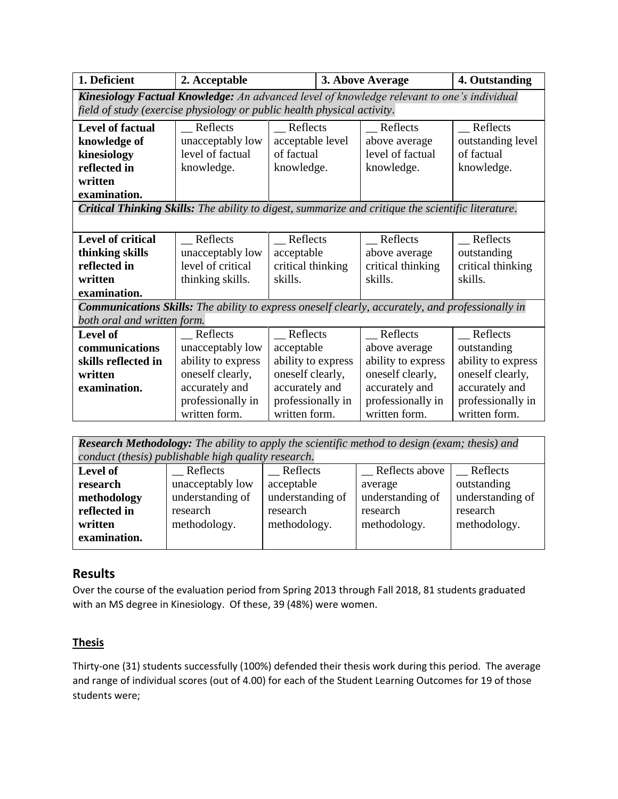| 1. Deficient                                                                                              | 2. Acceptable                                                           |                    | 3. Above Average | 4. Outstanding     |                    |  |
|-----------------------------------------------------------------------------------------------------------|-------------------------------------------------------------------------|--------------------|------------------|--------------------|--------------------|--|
| Kinesiology Factual Knowledge: An advanced level of knowledge relevant to one's individual                |                                                                         |                    |                  |                    |                    |  |
|                                                                                                           | field of study (exercise physiology or public health physical activity. |                    |                  |                    |                    |  |
| <b>Level of factual</b>                                                                                   | Reflects                                                                | Reflects           |                  | Reflects           | Reflects           |  |
| knowledge of                                                                                              | unacceptably low                                                        | acceptable level   |                  | above average      | outstanding level  |  |
| kinesiology                                                                                               | level of factual                                                        | of factual         |                  | level of factual   | of factual         |  |
| reflected in                                                                                              | knowledge.                                                              | knowledge.         |                  | knowledge.         | knowledge.         |  |
| written                                                                                                   |                                                                         |                    |                  |                    |                    |  |
| examination.                                                                                              |                                                                         |                    |                  |                    |                    |  |
| <b>Critical Thinking Skills:</b> The ability to digest, summarize and critique the scientific literature. |                                                                         |                    |                  |                    |                    |  |
|                                                                                                           |                                                                         |                    |                  |                    |                    |  |
| <b>Level of critical</b>                                                                                  | Reflects                                                                | Reflects           |                  | Reflects           | Reflects           |  |
| thinking skills                                                                                           | unacceptably low                                                        | acceptable         |                  | above average      | outstanding        |  |
| reflected in                                                                                              | level of critical                                                       | critical thinking  |                  | critical thinking  | critical thinking  |  |
| written                                                                                                   | thinking skills.                                                        | skills.            |                  | skills.            | skills.            |  |
| examination.                                                                                              |                                                                         |                    |                  |                    |                    |  |
| <b>Communications Skills:</b> The ability to express oneself clearly, accurately, and professionally in   |                                                                         |                    |                  |                    |                    |  |
| both oral and written form.                                                                               |                                                                         |                    |                  |                    |                    |  |
| Level of                                                                                                  | Reflects                                                                | Reflects           |                  | Reflects           | Reflects           |  |
| communications                                                                                            | unacceptably low                                                        | acceptable         |                  | above average      | outstanding        |  |
| skills reflected in                                                                                       | ability to express                                                      | ability to express |                  | ability to express | ability to express |  |
| written                                                                                                   | oneself clearly,                                                        | oneself clearly,   |                  | oneself clearly,   | oneself clearly,   |  |
| examination.                                                                                              | accurately and                                                          | accurately and     |                  | accurately and     | accurately and     |  |
|                                                                                                           | professionally in                                                       | professionally in  |                  | professionally in  | professionally in  |  |
|                                                                                                           | written form.                                                           | written form.      |                  | written form.      | written form.      |  |
|                                                                                                           |                                                                         |                    |                  |                    |                    |  |

*Research Methodology: The ability to apply the scientific method to design (exam; thesis) and conduct (thesis) publishable high quality research.*

|              | conance (mesus) phonshaote night quanty research. |                  |                  |                  |
|--------------|---------------------------------------------------|------------------|------------------|------------------|
| Level of     | Reflects                                          | Reflects         | Reflects above   | Reflects         |
| research     | unacceptably low                                  | acceptable       | average          | outstanding      |
| methodology  | understanding of                                  | understanding of | understanding of | understanding of |
| reflected in | research                                          | research         | research         | research         |
| written      | methodology.                                      | methodology.     | methodology.     | methodology.     |
| examination. |                                                   |                  |                  |                  |
|              |                                                   |                  |                  |                  |

## **Results**

Over the course of the evaluation period from Spring 2013 through Fall 2018, 81 students graduated with an MS degree in Kinesiology. Of these, 39 (48%) were women.

### **Thesis**

Thirty-one (31) students successfully (100%) defended their thesis work during this period. The average and range of individual scores (out of 4.00) for each of the Student Learning Outcomes for 19 of those students were;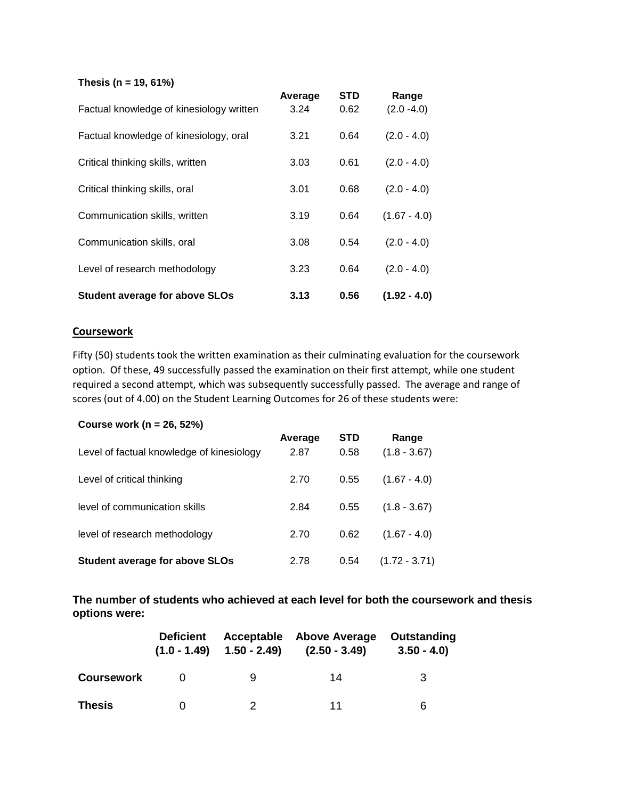**Thesis (n = 19, 61%)**

| Factual knowledge of kinesiology written | Average<br>3.24 | <b>STD</b><br>0.62 | Range<br>$(2.0 - 4.0)$ |
|------------------------------------------|-----------------|--------------------|------------------------|
| Factual knowledge of kinesiology, oral   | 3.21            | 0.64               | $(2.0 - 4.0)$          |
| Critical thinking skills, written        | 3.03            | 0.61               | $(2.0 - 4.0)$          |
| Critical thinking skills, oral           | 3.01            | 0.68               | $(2.0 - 4.0)$          |
| Communication skills, written            | 3.19            | 0.64               | $(1.67 - 4.0)$         |
| Communication skills, oral               | 3.08            | 0.54               | $(2.0 - 4.0)$          |
| Level of research methodology            | 3.23            | 0.64               | $(2.0 - 4.0)$          |
| <b>Student average for above SLOs</b>    | 3.13            | 0.56               | $(1.92 - 4.0)$         |

#### **Coursework**

Fifty (50) students took the written examination as their culminating evaluation for the coursework option. Of these, 49 successfully passed the examination on their first attempt, while one student required a second attempt, which was subsequently successfully passed. The average and range of scores (out of 4.00) on the Student Learning Outcomes for 26 of these students were:

#### **Course work (n = 26, 52%)**

| Level of factual knowledge of kinesiology | Average<br>2.87 | <b>STD</b><br>0.58 | Range<br>$(1.8 - 3.67)$ |
|-------------------------------------------|-----------------|--------------------|-------------------------|
| Level of critical thinking                | 2.70            | 0.55               | $(1.67 - 4.0)$          |
| level of communication skills             | 2.84            | 0.55               | $(1.8 - 3.67)$          |
| level of research methodology             | 2.70            | 0.62               | $(1.67 - 4.0)$          |
| <b>Student average for above SLOs</b>     | 2.78            | 0.54               | $(1.72 - 3.71)$         |

**The number of students who achieved at each level for both the coursework and thesis options were:**

|                   | <b>Deficient</b><br>$(1.0 - 1.49)$ | Acceptable<br>$1.50 - 2.49$ | <b>Above Average</b><br>$(2.50 - 3.49)$ | Outstanding<br>$3.50 - 4.0$ |
|-------------------|------------------------------------|-----------------------------|-----------------------------------------|-----------------------------|
| <b>Coursework</b> |                                    | 9                           | 14                                      | 3                           |
| Thesis            |                                    |                             | 11                                      | 6                           |